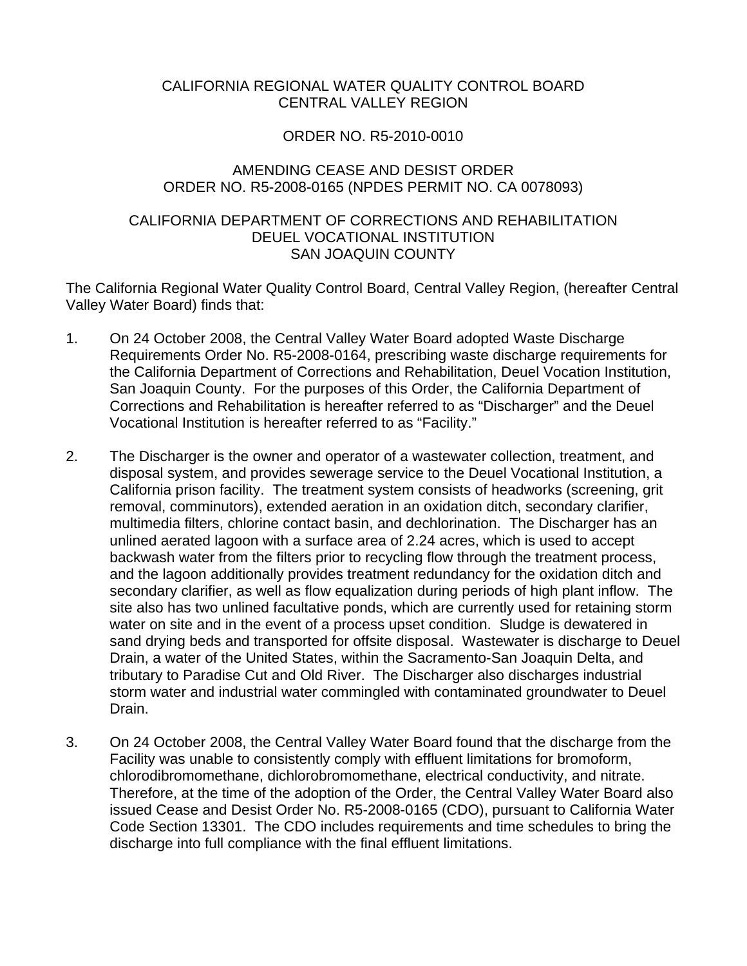## CALIFORNIA REGIONAL WATER QUALITY CONTROL BOARD CENTRAL VALLEY REGION

## ORDER NO. R5-2010-0010

## AMENDING CEASE AND DESIST ORDER ORDER NO. R5-2008-0165 (NPDES PERMIT NO. CA 0078093)

## CALIFORNIA DEPARTMENT OF CORRECTIONS AND REHABILITATION DEUEL VOCATIONAL INSTITUTION SAN JOAQUIN COUNTY

The California Regional Water Quality Control Board, Central Valley Region, (hereafter Central Valley Water Board) finds that:

- 1. On 24 October 2008, the Central Valley Water Board adopted Waste Discharge Requirements Order No. R5-2008-0164, prescribing waste discharge requirements for the California Department of Corrections and Rehabilitation, Deuel Vocation Institution, San Joaquin County. For the purposes of this Order, the California Department of Corrections and Rehabilitation is hereafter referred to as "Discharger" and the Deuel Vocational Institution is hereafter referred to as "Facility."
- 2. The Discharger is the owner and operator of a wastewater collection, treatment, and disposal system, and provides sewerage service to the Deuel Vocational Institution, a California prison facility. The treatment system consists of headworks (screening, grit removal, comminutors), extended aeration in an oxidation ditch, secondary clarifier, multimedia filters, chlorine contact basin, and dechlorination. The Discharger has an unlined aerated lagoon with a surface area of 2.24 acres, which is used to accept backwash water from the filters prior to recycling flow through the treatment process, and the lagoon additionally provides treatment redundancy for the oxidation ditch and secondary clarifier, as well as flow equalization during periods of high plant inflow. The site also has two unlined facultative ponds, which are currently used for retaining storm water on site and in the event of a process upset condition. Sludge is dewatered in sand drying beds and transported for offsite disposal. Wastewater is discharge to Deuel Drain, a water of the United States, within the Sacramento-San Joaquin Delta, and tributary to Paradise Cut and Old River. The Discharger also discharges industrial storm water and industrial water commingled with contaminated groundwater to Deuel Drain.
- 3. On 24 October 2008, the Central Valley Water Board found that the discharge from the Facility was unable to consistently comply with effluent limitations for bromoform, chlorodibromomethane, dichlorobromomethane, electrical conductivity, and nitrate. Therefore, at the time of the adoption of the Order, the Central Valley Water Board also issued Cease and Desist Order No. R5-2008-0165 (CDO), pursuant to California Water Code Section 13301. The CDO includes requirements and time schedules to bring the discharge into full compliance with the final effluent limitations.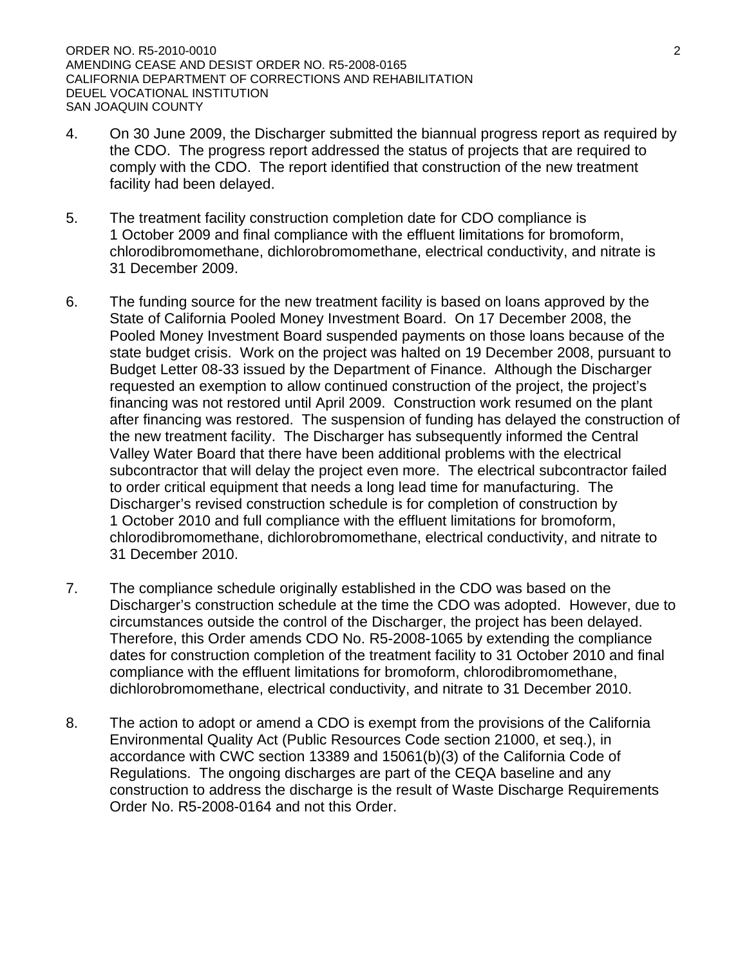ORDER NO. R5-2010-0010 2 AMENDING CEASE AND DESIST ORDER NO. R5-2008-0165 CALIFORNIA DEPARTMENT OF CORRECTIONS AND REHABILITATION DEUEL VOCATIONAL INSTITUTION SAN JOAQUIN COUNTY

- 4. On 30 June 2009, the Discharger submitted the biannual progress report as required by the CDO. The progress report addressed the status of projects that are required to comply with the CDO. The report identified that construction of the new treatment facility had been delayed.
- 5. The treatment facility construction completion date for CDO compliance is 1 October 2009 and final compliance with the effluent limitations for bromoform, chlorodibromomethane, dichlorobromomethane, electrical conductivity, and nitrate is 31 December 2009.
- 6. The funding source for the new treatment facility is based on loans approved by the State of California Pooled Money Investment Board. On 17 December 2008, the Pooled Money Investment Board suspended payments on those loans because of the state budget crisis. Work on the project was halted on 19 December 2008, pursuant to Budget Letter 08-33 issued by the Department of Finance. Although the Discharger requested an exemption to allow continued construction of the project, the project's financing was not restored until April 2009. Construction work resumed on the plant after financing was restored. The suspension of funding has delayed the construction of the new treatment facility. The Discharger has subsequently informed the Central Valley Water Board that there have been additional problems with the electrical subcontractor that will delay the project even more. The electrical subcontractor failed to order critical equipment that needs a long lead time for manufacturing. The Discharger's revised construction schedule is for completion of construction by 1 October 2010 and full compliance with the effluent limitations for bromoform, chlorodibromomethane, dichlorobromomethane, electrical conductivity, and nitrate to 31 December 2010.
- 7. The compliance schedule originally established in the CDO was based on the Discharger's construction schedule at the time the CDO was adopted. However, due to circumstances outside the control of the Discharger, the project has been delayed. Therefore, this Order amends CDO No. R5-2008-1065 by extending the compliance dates for construction completion of the treatment facility to 31 October 2010 and final compliance with the effluent limitations for bromoform, chlorodibromomethane, dichlorobromomethane, electrical conductivity, and nitrate to 31 December 2010.
- 8. The action to adopt or amend a CDO is exempt from the provisions of the California Environmental Quality Act (Public Resources Code section 21000, et seq.), in accordance with CWC section 13389 and 15061(b)(3) of the California Code of Regulations. The ongoing discharges are part of the CEQA baseline and any construction to address the discharge is the result of Waste Discharge Requirements Order No. R5-2008-0164 and not this Order.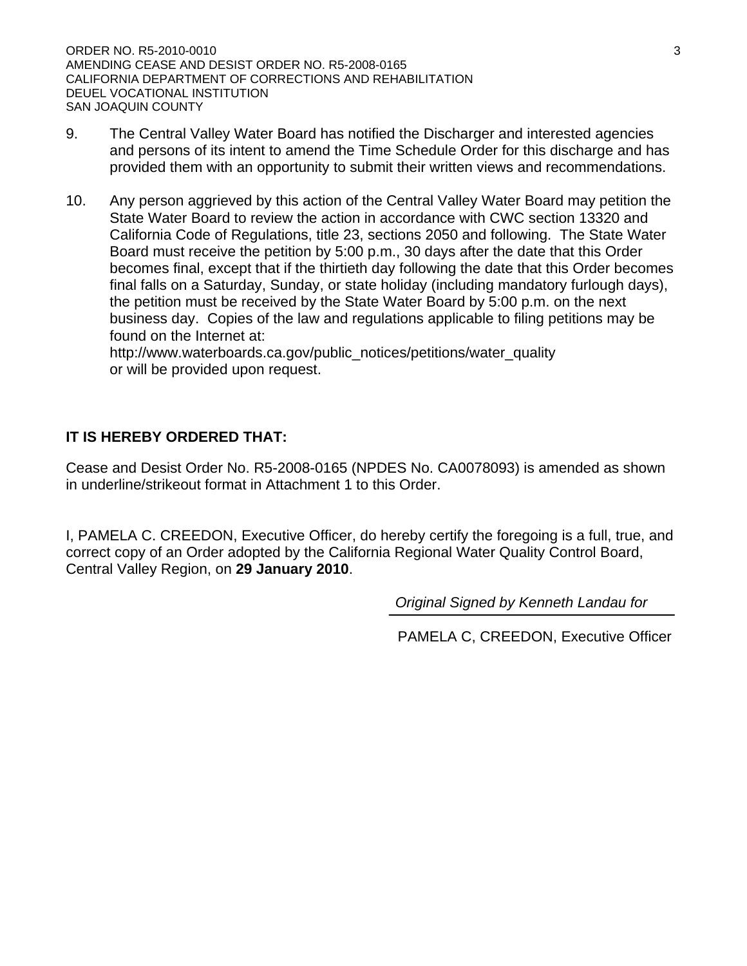ORDER NO. R5-2010-0010 3 AMENDING CEASE AND DESIST ORDER NO. R5-2008-0165 CALIFORNIA DEPARTMENT OF CORRECTIONS AND REHABILITATION DEUEL VOCATIONAL INSTITUTION SAN JOAQUIN COUNTY

- 9. The Central Valley Water Board has notified the Discharger and interested agencies and persons of its intent to amend the Time Schedule Order for this discharge and has provided them with an opportunity to submit their written views and recommendations.
- 10. Any person aggrieved by this action of the Central Valley Water Board may petition the State Water Board to review the action in accordance with CWC section 13320 and California Code of Regulations, title 23, sections 2050 and following. The State Water Board must receive the petition by 5:00 p.m., 30 days after the date that this Order becomes final, except that if the thirtieth day following the date that this Order becomes final falls on a Saturday, Sunday, or state holiday (including mandatory furlough days), the petition must be received by the State Water Board by 5:00 p.m. on the next business day. Copies of the law and regulations applicable to filing petitions may be found on the Internet at:

http://www.waterboards.ca.gov/public\_notices/petitions/water\_quality or will be provided upon request.

# **IT IS HEREBY ORDERED THAT:**

Cease and Desist Order No. R5-2008-0165 (NPDES No. CA0078093) is amended as shown in underline/strikeout format in Attachment 1 to this Order.

I, PAMELA C. CREEDON, Executive Officer, do hereby certify the foregoing is a full, true, and correct copy of an Order adopted by the California Regional Water Quality Control Board, Central Valley Region, on **29 January 2010**.

*Original Signed by Kenneth Landau for* 

PAMELA C, CREEDON, Executive Officer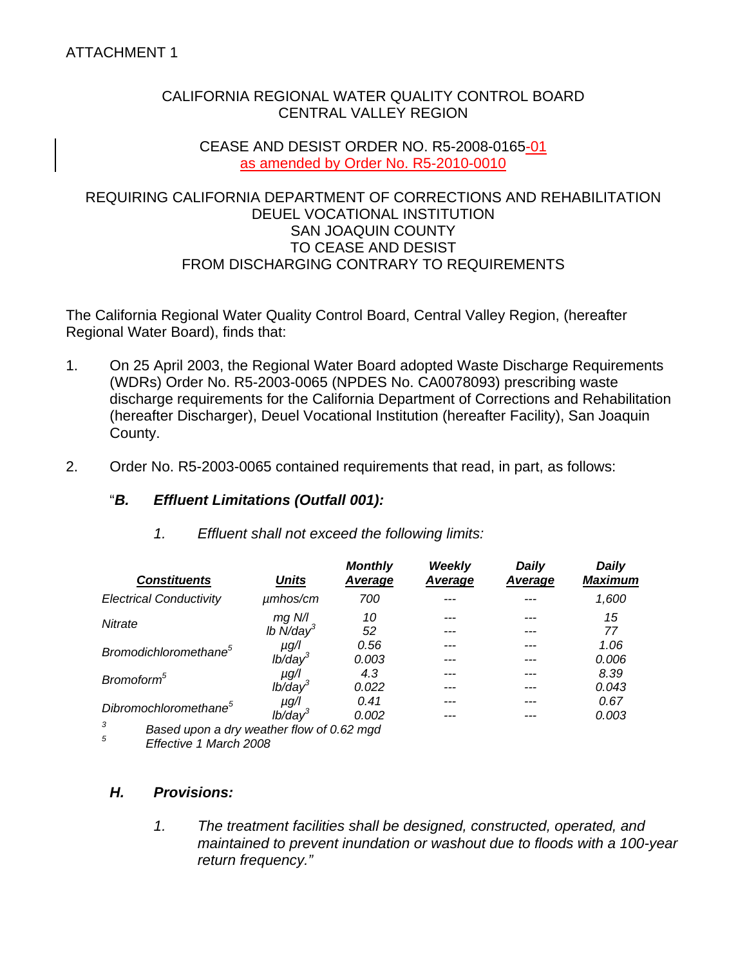## CALIFORNIA REGIONAL WATER QUALITY CONTROL BOARD CENTRAL VALLEY REGION

#### CEASE AND DESIST ORDER NO. R5-2008-0165-01 as amended by Order No. R5-2010-0010

## REQUIRING CALIFORNIA DEPARTMENT OF CORRECTIONS AND REHABILITATION DEUEL VOCATIONAL INSTITUTION SAN JOAQUIN COUNTY TO CEASE AND DESIST FROM DISCHARGING CONTRARY TO REQUIREMENTS

The California Regional Water Quality Control Board, Central Valley Region, (hereafter Regional Water Board), finds that:

- 1. On 25 April 2003, the Regional Water Board adopted Waste Discharge Requirements (WDRs) Order No. R5-2003-0065 (NPDES No. CA0078093) prescribing waste discharge requirements for the California Department of Corrections and Rehabilitation (hereafter Discharger), Deuel Vocational Institution (hereafter Facility), San Joaquin County.
- 2. Order No. R5-2003-0065 contained requirements that read, in part, as follows:

# "*B. Effluent Limitations (Outfall 001):*

| <b>Constituents</b>                            | <b>Units</b>               | <b>Monthly</b><br>Average | <b>Weekly</b><br>Average | <b>Daily</b><br>Average | <b>Daily</b><br><b>Maximum</b> |
|------------------------------------------------|----------------------------|---------------------------|--------------------------|-------------------------|--------------------------------|
| <b>Electrical Conductivity</b>                 | $\mu$ mhos/cm              | 700                       |                          |                         | 1,600                          |
| Nitrate                                        | $mg$ N/I<br>Ib $N/day^3$   | 10<br>52                  |                          |                         | 15<br>77                       |
| Bromodichloromethane <sup>5</sup>              | $\mu$ g/l                  | 0.56                      |                          |                         | 1.06                           |
|                                                | $lb$ /day $3$              | 0.003                     |                          |                         | 0.006                          |
| Bromoform <sup>5</sup>                         | $\mu$ g/l<br>$lb$ /day $3$ | 4.3<br>0.022              |                          |                         | 8.39<br>0.043                  |
| Dibromochloromethane <sup>5</sup>              | µg/l                       | 0.41                      |                          |                         | 0.67                           |
| 3<br>Based upon a dry weather flow of 0.62 mgd | $I\dot{b}/\text{day}^3$    | 0.002                     |                          |                         | 0.003                          |

 *1. Effluent shall not exceed the following limits:* 

*5 Effective 1 March 2008* 

# *H. Provisions:*

*1. The treatment facilities shall be designed, constructed, operated, and maintained to prevent inundation or washout due to floods with a 100-year return frequency."*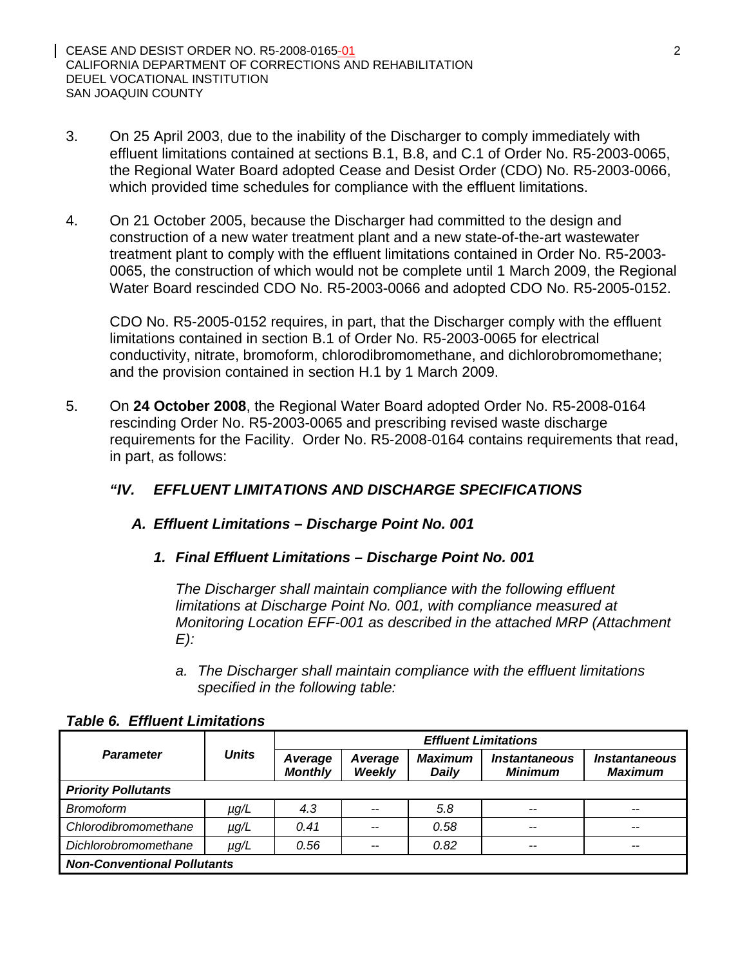- 3. On 25 April 2003, due to the inability of the Discharger to comply immediately with effluent limitations contained at sections B.1, B.8, and C.1 of Order No. R5-2003-0065, the Regional Water Board adopted Cease and Desist Order (CDO) No. R5-2003-0066, which provided time schedules for compliance with the effluent limitations.
- 4. On 21 October 2005, because the Discharger had committed to the design and construction of a new water treatment plant and a new state-of-the-art wastewater treatment plant to comply with the effluent limitations contained in Order No. R5-2003- 0065, the construction of which would not be complete until 1 March 2009, the Regional Water Board rescinded CDO No. R5-2003-0066 and adopted CDO No. R5-2005-0152.

CDO No. R5-2005-0152 requires, in part, that the Discharger comply with the effluent limitations contained in section B.1 of Order No. R5-2003-0065 for electrical conductivity, nitrate, bromoform, chlorodibromomethane, and dichlorobromomethane; and the provision contained in section H.1 by 1 March 2009.

5. On **24 October 2008**, the Regional Water Board adopted Order No. R5-2008-0164 rescinding Order No. R5-2003-0065 and prescribing revised waste discharge requirements for the Facility. Order No. R5-2008-0164 contains requirements that read, in part, as follows:

# *"IV. EFFLUENT LIMITATIONS AND DISCHARGE SPECIFICATIONS*

# *A. Effluent Limitations – Discharge Point No. 001*

*1. Final Effluent Limitations – Discharge Point No. 001* 

*The Discharger shall maintain compliance with the following effluent limitations at Discharge Point No. 001, with compliance measured at Monitoring Location EFF-001 as described in the attached MRP (Attachment E):* 

*a. The Discharger shall maintain compliance with the effluent limitations specified in the following table:* 

|                                    |              | <b>Effluent Limitations</b> |                   |                                |                                        |                                               |
|------------------------------------|--------------|-----------------------------|-------------------|--------------------------------|----------------------------------------|-----------------------------------------------|
| <b>Parameter</b>                   | <b>Units</b> | Average<br><b>Monthly</b>   | Average<br>Weekly | <b>Maximum</b><br><b>Daily</b> | <i><b>Instantaneous</b></i><br>Minimum | <i><b>Instantaneous</b></i><br><b>Maximum</b> |
| <b>Priority Pollutants</b>         |              |                             |                   |                                |                                        |                                               |
| <b>Bromoform</b>                   | $\mu$ g/L    | 4.3                         | $- -$             | 5.8                            | $- -$                                  | --                                            |
| Chlorodibromomethane               | $\mu g/L$    | 0.41                        | --                | 0.58                           | $- -$                                  | $-$                                           |
| Dichlorobromomethane               | µg/L         | 0.56                        | --                | 0.82                           | $- -$                                  | $- -$                                         |
| <b>Non-Conventional Pollutants</b> |              |                             |                   |                                |                                        |                                               |

## *Table 6. Effluent Limitations*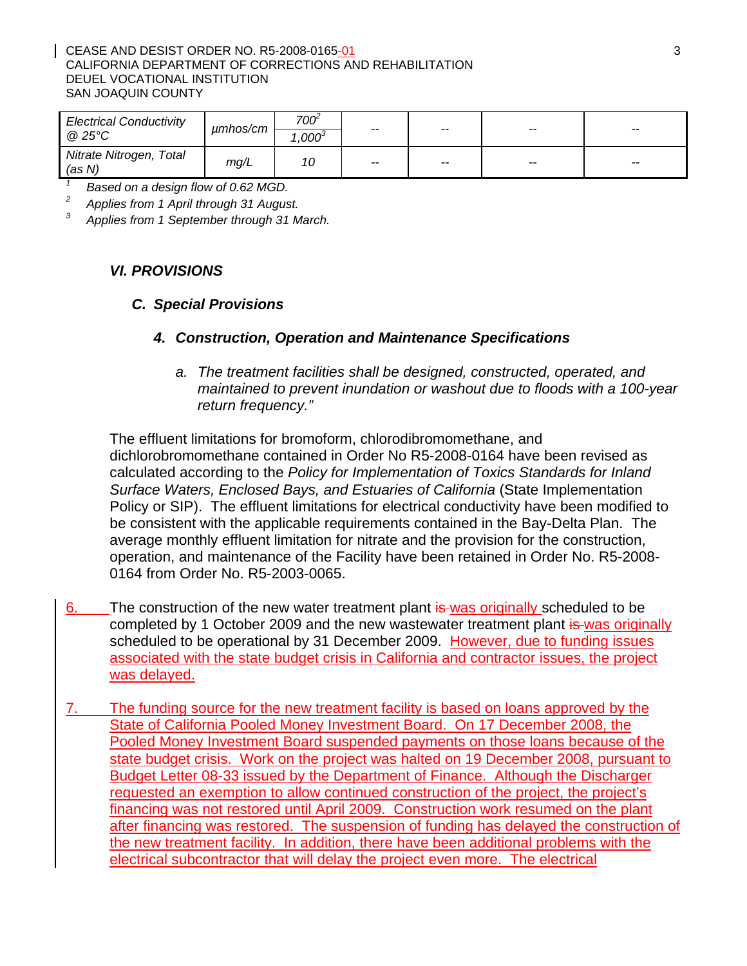#### CEASE AND DESIST ORDER NO. R5-2008-0165-01 3 CALIFORNIA DEPARTMENT OF CORRECTIONS AND REHABILITATION DEUEL VOCATIONAL INSTITUTION SAN JOAQUIN COUNTY

| <b>Electrical Conductivity</b><br>@ 25°C | umhos/cm | 700 <sup>-</sup><br>$.000^3$ | $- -$ | $- -$                    | $-$   | $-$                      |
|------------------------------------------|----------|------------------------------|-------|--------------------------|-------|--------------------------|
| Nitrate Nitrogen, Total<br>(as N)        | mg/L     |                              | $- -$ | $\overline{\phantom{m}}$ | $- -$ | $\overline{\phantom{a}}$ |

*1 Based on a design flow of 0.62 MGD.* 

*2 Applies from 1 April through 31 August.* 

*3 Applies from 1 September through 31 March.* 

## *VI. PROVISIONS*

#### *C. Special Provisions*

#### *4. Construction, Operation and Maintenance Specifications*

*a. The treatment facilities shall be designed, constructed, operated, and maintained to prevent inundation or washout due to floods with a 100-year return frequency."* 

The effluent limitations for bromoform, chlorodibromomethane, and dichlorobromomethane contained in Order No R5-2008-0164 have been revised as calculated according to the *Policy for Implementation of Toxics Standards for Inland Surface Waters, Enclosed Bays, and Estuaries of California* (State Implementation Policy or SIP). The effluent limitations for electrical conductivity have been modified to be consistent with the applicable requirements contained in the Bay-Delta Plan. The average monthly effluent limitation for nitrate and the provision for the construction, operation, and maintenance of the Facility have been retained in Order No. R5-2008- 0164 from Order No. R5-2003-0065.

- 6. The construction of the new water treatment plant is was originally scheduled to be completed by 1 October 2009 and the new wastewater treatment plant is was originally scheduled to be operational by 31 December 2009. However, due to funding issues associated with the state budget crisis in California and contractor issues, the project was delayed.
- 7. The funding source for the new treatment facility is based on loans approved by the State of California Pooled Money Investment Board. On 17 December 2008, the Pooled Money Investment Board suspended payments on those loans because of the state budget crisis. Work on the project was halted on 19 December 2008, pursuant to Budget Letter 08-33 issued by the Department of Finance. Although the Discharger requested an exemption to allow continued construction of the project, the project's financing was not restored until April 2009. Construction work resumed on the plant after financing was restored. The suspension of funding has delayed the construction of the new treatment facility. In addition, there have been additional problems with the electrical subcontractor that will delay the project even more. The electrical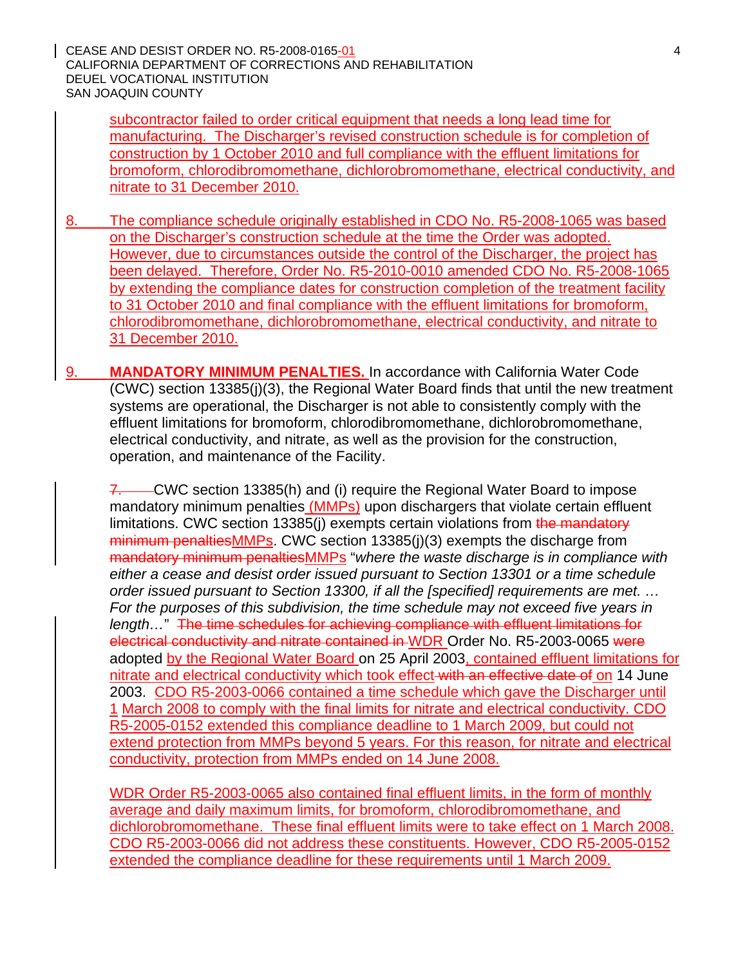CEASE AND DESIST ORDER NO. R5-2008-0165-01 4 CALIFORNIA DEPARTMENT OF CORRECTIONS AND REHABILITATION DEUEL VOCATIONAL INSTITUTION SAN JOAQUIN COUNTY

subcontractor failed to order critical equipment that needs a long lead time for manufacturing. The Discharger's revised construction schedule is for completion of construction by 1 October 2010 and full compliance with the effluent limitations for bromoform, chlorodibromomethane, dichlorobromomethane, electrical conductivity, and nitrate to 31 December 2010.

8. The compliance schedule originally established in CDO No. R5-2008-1065 was based on the Discharger's construction schedule at the time the Order was adopted. However, due to circumstances outside the control of the Discharger, the project has been delayed. Therefore, Order No. R5-2010-0010 amended CDO No. R5-2008-1065 by extending the compliance dates for construction completion of the treatment facility to 31 October 2010 and final compliance with the effluent limitations for bromoform, chlorodibromomethane, dichlorobromomethane, electrical conductivity, and nitrate to 31 December 2010.

9. **MANDATORY MINIMUM PENALTIES.** In accordance with California Water Code (CWC) section 13385(j)(3), the Regional Water Board finds that until the new treatment systems are operational, the Discharger is not able to consistently comply with the effluent limitations for bromoform, chlorodibromomethane, dichlorobromomethane, electrical conductivity, and nitrate, as well as the provision for the construction, operation, and maintenance of the Facility.

7. CWC section 13385(h) and (i) require the Regional Water Board to impose mandatory minimum penalties (MMPs) upon dischargers that violate certain effluent limitations. CWC section 13385(i) exempts certain violations from the mandatory minimum penaltiesMMPs. CWC section 13385(j)(3) exempts the discharge from mandatory minimum penaltiesMMPs "*where the waste discharge is in compliance with either a cease and desist order issued pursuant to Section 13301 or a time schedule order issued pursuant to Section 13300, if all the [specified] requirements are met. … For the purposes of this subdivision, the time schedule may not exceed five years in length…*" The time schedules for achieving compliance with effluent limitations for electrical conductivity and nitrate contained in WDR Order No. R5-2003-0065 were adopted by the Regional Water Board on 25 April 2003, contained effluent limitations for nitrate and electrical conductivity which took effect with an effective date of on 14 June 2003. CDO R5-2003-0066 contained a time schedule which gave the Discharger until 1 March 2008 to comply with the final limits for nitrate and electrical conductivity. CDO R5-2005-0152 extended this compliance deadline to 1 March 2009, but could not extend protection from MMPs beyond 5 years. For this reason, for nitrate and electrical conductivity, protection from MMPs ended on 14 June 2008.

WDR Order R5-2003-0065 also contained final effluent limits, in the form of monthly average and daily maximum limits, for bromoform, chlorodibromomethane, and dichlorobromomethane. These final effluent limits were to take effect on 1 March 2008. CDO R5-2003-0066 did not address these constituents. However, CDO R5-2005-0152 extended the compliance deadline for these requirements until 1 March 2009.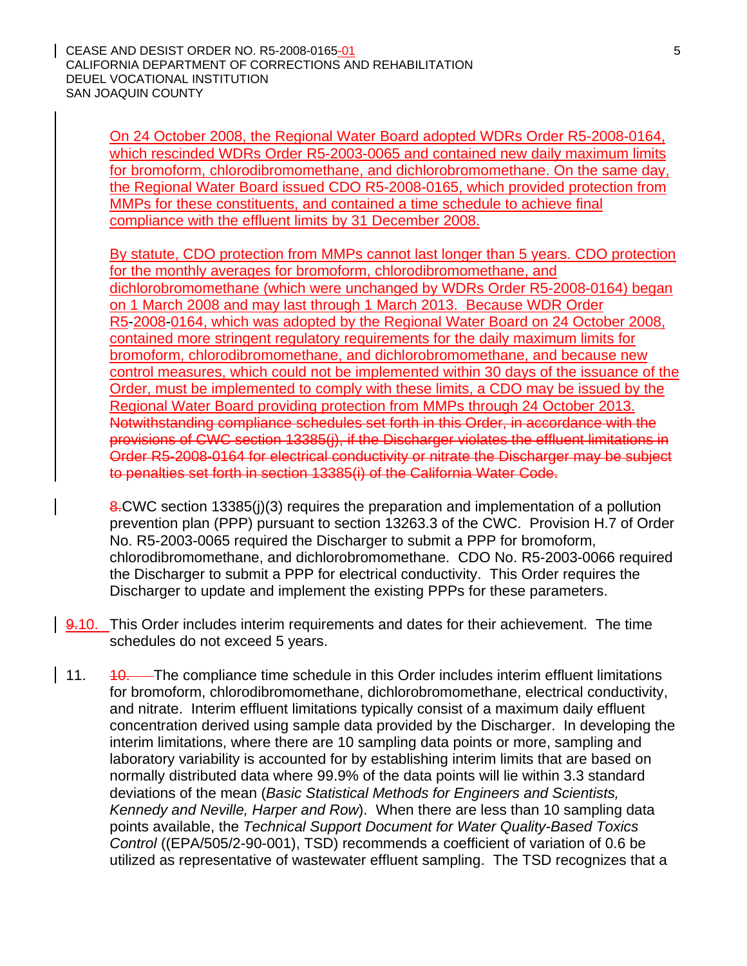CEASE AND DESIST ORDER NO. R5-2008-0165-01 5 AND THE SERIES OF A STRING STRING STRING STRING STRING STRING STRING STRING STRING STRING STRING STRING STRING STRING STRING STRING STRING STRING STRING STRING STRING STRING STR CALIFORNIA DEPARTMENT OF CORRECTIONS AND REHABILITATION DEUEL VOCATIONAL INSTITUTION SAN JOAQUIN COUNTY

On 24 October 2008, the Regional Water Board adopted WDRs Order R5-2008-0164, which rescinded WDRs Order R5-2003-0065 and contained new daily maximum limits for bromoform, chlorodibromomethane, and dichlorobromomethane. On the same day, the Regional Water Board issued CDO R5-2008-0165, which provided protection from MMPs for these constituents, and contained a time schedule to achieve final compliance with the effluent limits by 31 December 2008.

By statute, CDO protection from MMPs cannot last longer than 5 years. CDO protection for the monthly averages for bromoform, chlorodibromomethane, and dichlorobromomethane (which were unchanged by WDRs Order R5-2008-0164) began on 1 March 2008 and may last through 1 March 2013. Because WDR Order R5-2008-0164, which was adopted by the Regional Water Board on 24 October 2008, contained more stringent regulatory requirements for the daily maximum limits for bromoform, chlorodibromomethane, and dichlorobromomethane, and because new control measures, which could not be implemented within 30 days of the issuance of the Order, must be implemented to comply with these limits, a CDO may be issued by the Regional Water Board providing protection from MMPs through 24 October 2013. Notwithstanding compliance schedules set forth in this Order, in accordance with the provisions of CWC section 13385(j), if the Discharger violates the effluent limitations in Order R5-2008-0164 for electrical conductivity or nitrate the Discharger may be subject to penalties set forth in section 13385(i) of the California Water Code.

8. CWC section 13385(j)(3) requires the preparation and implementation of a pollution prevention plan (PPP) pursuant to section 13263.3 of the CWC. Provision H.7 of Order No. R5-2003-0065 required the Discharger to submit a PPP for bromoform, chlorodibromomethane, and dichlorobromomethane. CDO No. R5-2003-0066 required the Discharger to submit a PPP for electrical conductivity. This Order requires the Discharger to update and implement the existing PPPs for these parameters.

- 9.10. This Order includes interim requirements and dates for their achievement. The time schedules do not exceed 5 years.
- 11. 40. The compliance time schedule in this Order includes interim effluent limitations for bromoform, chlorodibromomethane, dichlorobromomethane, electrical conductivity, and nitrate. Interim effluent limitations typically consist of a maximum daily effluent concentration derived using sample data provided by the Discharger. In developing the interim limitations, where there are 10 sampling data points or more, sampling and laboratory variability is accounted for by establishing interim limits that are based on normally distributed data where 99.9% of the data points will lie within 3.3 standard deviations of the mean (*Basic Statistical Methods for Engineers and Scientists, Kennedy and Neville, Harper and Row*). When there are less than 10 sampling data points available, the *Technical Support Document for Water Quality-Based Toxics Control* ((EPA/505/2-90-001), TSD) recommends a coefficient of variation of 0.6 be utilized as representative of wastewater effluent sampling. The TSD recognizes that a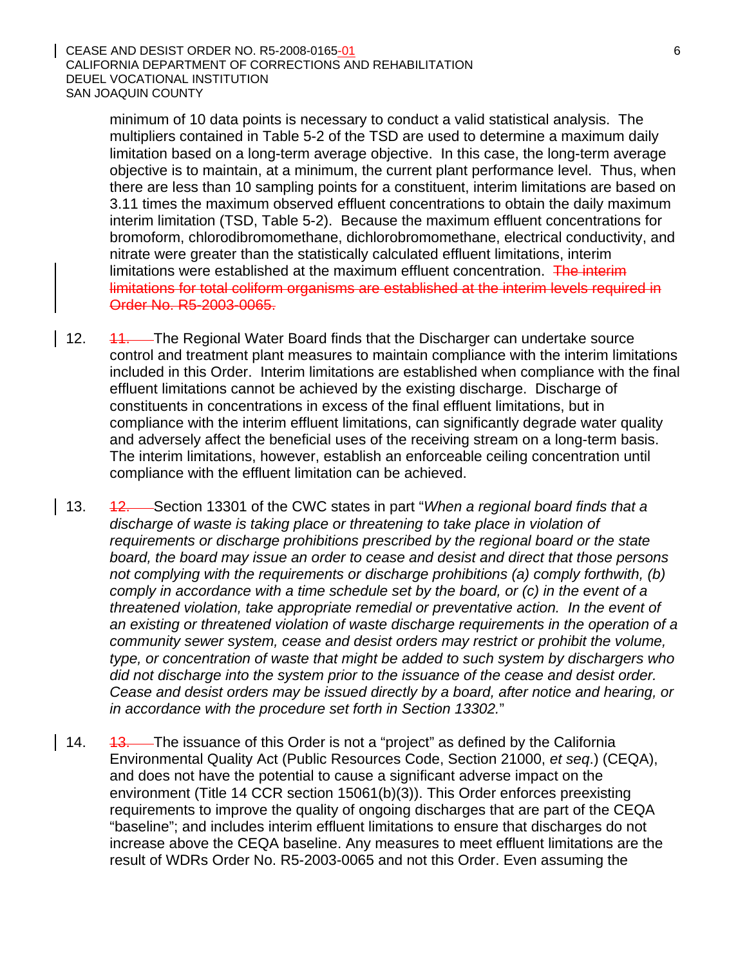minimum of 10 data points is necessary to conduct a valid statistical analysis. The multipliers contained in Table 5-2 of the TSD are used to determine a maximum daily limitation based on a long-term average objective. In this case, the long-term average objective is to maintain, at a minimum, the current plant performance level. Thus, when there are less than 10 sampling points for a constituent, interim limitations are based on 3.11 times the maximum observed effluent concentrations to obtain the daily maximum interim limitation (TSD, Table 5-2). Because the maximum effluent concentrations for bromoform, chlorodibromomethane, dichlorobromomethane, electrical conductivity, and nitrate were greater than the statistically calculated effluent limitations, interim limitations were established at the maximum effluent concentration. The interim limitations for total coliform organisms are established at the interim levels required in Order No. R5-2003-0065.

- 12. 11. The Regional Water Board finds that the Discharger can undertake source control and treatment plant measures to maintain compliance with the interim limitations included in this Order. Interim limitations are established when compliance with the final effluent limitations cannot be achieved by the existing discharge. Discharge of constituents in concentrations in excess of the final effluent limitations, but in compliance with the interim effluent limitations, can significantly degrade water quality and adversely affect the beneficial uses of the receiving stream on a long-term basis. The interim limitations, however, establish an enforceable ceiling concentration until compliance with the effluent limitation can be achieved.
- 13. 12. Section 13301 of the CWC states in part "*When a regional board finds that a discharge of waste is taking place or threatening to take place in violation of requirements or discharge prohibitions prescribed by the regional board or the state board, the board may issue an order to cease and desist and direct that those persons not complying with the requirements or discharge prohibitions (a) comply forthwith, (b) comply in accordance with a time schedule set by the board, or (c) in the event of a threatened violation, take appropriate remedial or preventative action. In the event of an existing or threatened violation of waste discharge requirements in the operation of a community sewer system, cease and desist orders may restrict or prohibit the volume, type, or concentration of waste that might be added to such system by dischargers who did not discharge into the system prior to the issuance of the cease and desist order. Cease and desist orders may be issued directly by a board, after notice and hearing, or in accordance with the procedure set forth in Section 13302.*"
- 14. 43. The issuance of this Order is not a "project" as defined by the California Environmental Quality Act (Public Resources Code, Section 21000, *et seq*.) (CEQA), and does not have the potential to cause a significant adverse impact on the environment (Title 14 CCR section 15061(b)(3)). This Order enforces preexisting requirements to improve the quality of ongoing discharges that are part of the CEQA "baseline"; and includes interim effluent limitations to ensure that discharges do not increase above the CEQA baseline. Any measures to meet effluent limitations are the result of WDRs Order No. R5-2003-0065 and not this Order. Even assuming the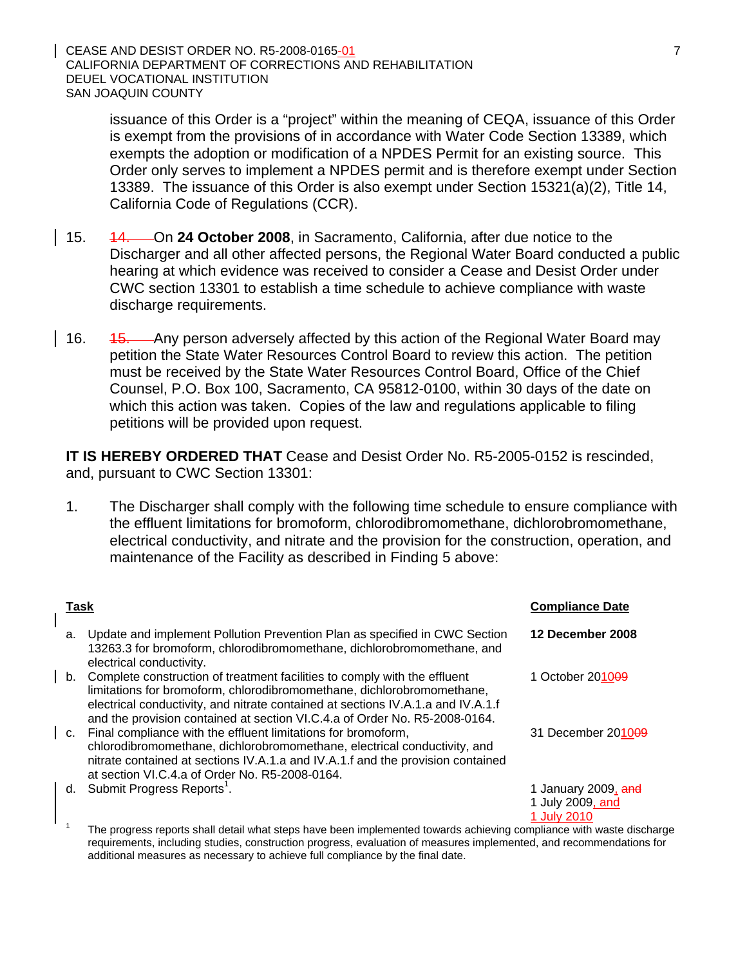CEASE AND DESIST ORDER NO. R5-2008-0165-01 7 CALIFORNIA DEPARTMENT OF CORRECTIONS AND REHABILITATION DEUEL VOCATIONAL INSTITUTION SAN JOAQUIN COUNTY

issuance of this Order is a "project" within the meaning of CEQA, issuance of this Order is exempt from the provisions of in accordance with Water Code Section 13389, which exempts the adoption or modification of a NPDES Permit for an existing source. This Order only serves to implement a NPDES permit and is therefore exempt under Section 13389. The issuance of this Order is also exempt under Section 15321(a)(2), Title 14, California Code of Regulations (CCR).

- 15. 14. On **24 October 2008**, in Sacramento, California, after due notice to the Discharger and all other affected persons, the Regional Water Board conducted a public hearing at which evidence was received to consider a Cease and Desist Order under CWC section 13301 to establish a time schedule to achieve compliance with waste discharge requirements.
- 16. 45. Any person adversely affected by this action of the Regional Water Board may petition the State Water Resources Control Board to review this action. The petition must be received by the State Water Resources Control Board, Office of the Chief Counsel, P.O. Box 100, Sacramento, CA 95812-0100, within 30 days of the date on which this action was taken. Copies of the law and regulations applicable to filing petitions will be provided upon request.

**IT IS HEREBY ORDERED THAT** Cease and Desist Order No. R5-2005-0152 is rescinded, and, pursuant to CWC Section 13301:

1. The Discharger shall comply with the following time schedule to ensure compliance with the effluent limitations for bromoform, chlorodibromomethane, dichlorobromomethane, electrical conductivity, and nitrate and the provision for the construction, operation, and maintenance of the Facility as described in Finding 5 above:

| Task |                                                                                                                                                                                                                                                                                                                          | <b>Compliance Date</b>                  |
|------|--------------------------------------------------------------------------------------------------------------------------------------------------------------------------------------------------------------------------------------------------------------------------------------------------------------------------|-----------------------------------------|
| a.   | Update and implement Pollution Prevention Plan as specified in CWC Section<br>13263.3 for bromoform, chlorodibromomethane, dichlorobromomethane, and<br>electrical conductivity.                                                                                                                                         | 12 December 2008                        |
|      | b. Complete construction of treatment facilities to comply with the effluent<br>limitations for bromoform, chlorodibromomethane, dichlorobromomethane,<br>electrical conductivity, and nitrate contained at sections IV.A.1.a and IV.A.1.f<br>and the provision contained at section VI.C.4.a of Order No. R5-2008-0164. | 1 October 201009                        |
| C.   | Final compliance with the effluent limitations for bromoform,<br>chlorodibromomethane, dichlorobromomethane, electrical conductivity, and<br>nitrate contained at sections IV.A.1.a and IV.A.1.f and the provision contained<br>at section VI.C.4.a of Order No. R5-2008-0164.                                           | 31 December 201009                      |
| d.   | Submit Progress Reports <sup>1</sup> .                                                                                                                                                                                                                                                                                   | 1 January 2009, and<br>1 July 2009, and |
|      | The pregress reports shall detail what stape have been implemented towards sobjeving compliance with worte dischar                                                                                                                                                                                                       | 1 July 2010                             |

The progress reports shall detail what steps have been implemented towards achieving compliance with waste discharge requirements, including studies, construction progress, evaluation of measures implemented, and recommendations for additional measures as necessary to achieve full compliance by the final date.